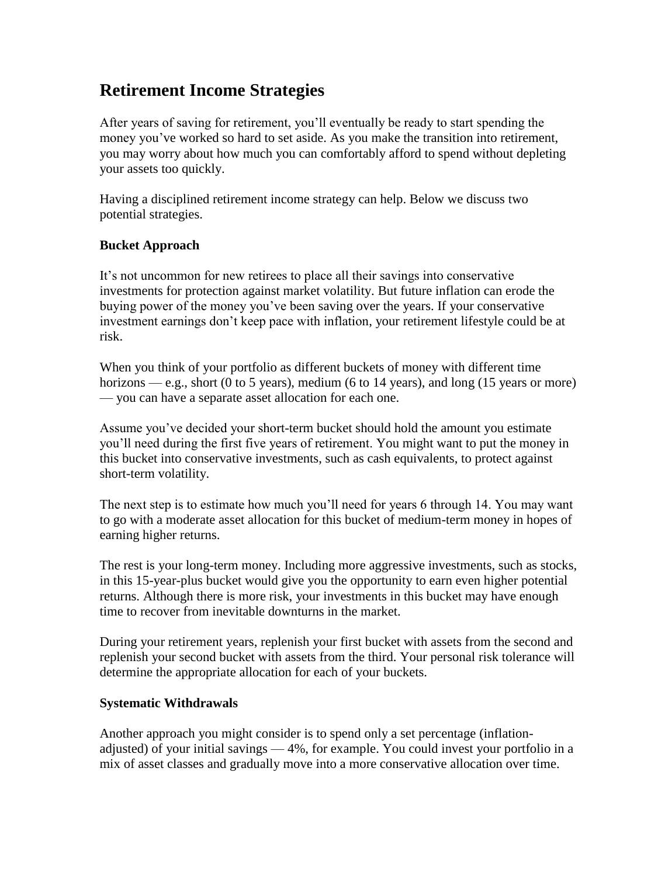# **Retirement Income Strategies**

After years of saving for retirement, you'll eventually be ready to start spending the money you've worked so hard to set aside. As you make the transition into retirement, you may worry about how much you can comfortably afford to spend without depleting your assets too quickly.

Having a disciplined retirement income strategy can help. Below we discuss two potential strategies.

### **Bucket Approach**

It's not uncommon for new retirees to place all their savings into conservative investments for protection against market volatility. But future inflation can erode the buying power of the money you've been saving over the years. If your conservative investment earnings don't keep pace with inflation, your retirement lifestyle could be at risk.

When you think of your portfolio as different buckets of money with different time horizons — e.g., short (0 to 5 years), medium (6 to 14 years), and long (15 years or more) — you can have a separate asset allocation for each one.

Assume you've decided your short-term bucket should hold the amount you estimate you'll need during the first five years of retirement. You might want to put the money in this bucket into conservative investments, such as cash equivalents, to protect against short-term volatility.

The next step is to estimate how much you'll need for years 6 through 14. You may want to go with a moderate asset allocation for this bucket of medium-term money in hopes of earning higher returns.

The rest is your long-term money. Including more aggressive investments, such as stocks, in this 15-year-plus bucket would give you the opportunity to earn even higher potential returns. Although there is more risk, your investments in this bucket may have enough time to recover from inevitable downturns in the market.

During your retirement years, replenish your first bucket with assets from the second and replenish your second bucket with assets from the third. Your personal risk tolerance will determine the appropriate allocation for each of your buckets.

#### **Systematic Withdrawals**

Another approach you might consider is to spend only a set percentage (inflationadjusted) of your initial savings — 4%, for example. You could invest your portfolio in a mix of asset classes and gradually move into a more conservative allocation over time.